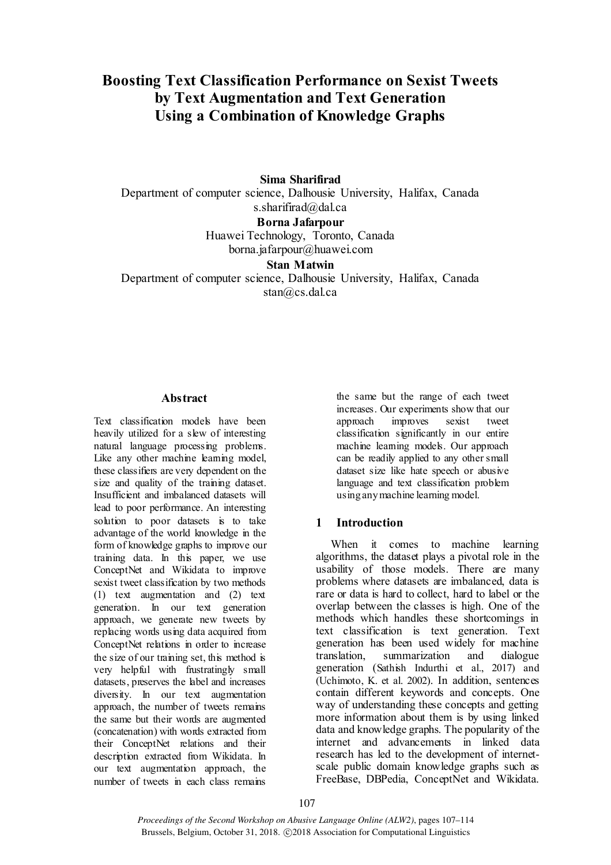# **Boosting Text Classification Performance on Sexist Tweets by Text Augmentation and Text Generation Using a Combination of Knowledge Graphs**

**Sima Sharifirad** Department of computer science, Dalhousie University, Halifax, Canada s.sharifirad@dal.ca **Borna Jafarpour** Huawei Technology, Toronto, Canada [borna.jafarpour@huawei.com](mailto:borna.jafarpour@huawei.com)

#### **Stan Matwin**

Department of computer science, Dalhousie University, Halifax, Canada stan@cs.dal.ca

#### **Abstract**

Text classification models have been heavily utilized for a slew of interesting natural language processing problems. Like any other machine learning model, these classifiers are very dependent on the size and quality of the training dataset. Insufficient and imbalanced datasets will lead to poor performance. An interesting solution to poor datasets is to take advantage of the world knowledge in the form of knowledge graphs to improve our training data. In this paper, we use ConceptNet and Wikidata to improve sexist tweet classification by two methods (1) text augmentation and (2) text generation. In our text generation approach, we generate new tweets by replacing words using data acquired from ConceptNet relations in order to increase the size of our training set, this method is very helpful with frustratingly small datasets, preserves the label and increases diversity. In our text augmentation approach, the number of tweets remains the same but their words are augmented (concatenation) with words extracted from their ConceptNet relations and their description extracted from Wikidata. In our text augmentation approach, the number of tweets in each class remains

the same but the range of each tweet increases. Our experiments show that our approach improves sexist tweet classification significantly in our entire machine learning models. Our approach can be readily applied to any other small dataset size like hate speech or abusive language and text classification problem using any machine learning model.

#### **1 Introduction**

When it comes to machine learning algorithms, the dataset plays a pivotal role in the usability of those models. There are many problems where datasets are imbalanced, data is rare or data is hard to collect, hard to label or the overlap between the classes is high. One of the methods which handles these shortcomings in text classification is text generation. Text generation has been used widely for machine translation, summarization and dialogue generation (Sathish Indurthi et al., 2017) and (Uchimoto, K. et al. 2002). In addition, sentences contain different keywords and concepts. One way of understanding these concepts and getting more information about them is by using linked data and knowledge graphs. The popularity of the internet and advancements in linked data research has led to the development of internetscale public domain knowledge graphs such as FreeBase, DBPedia, ConceptNet and Wikidata.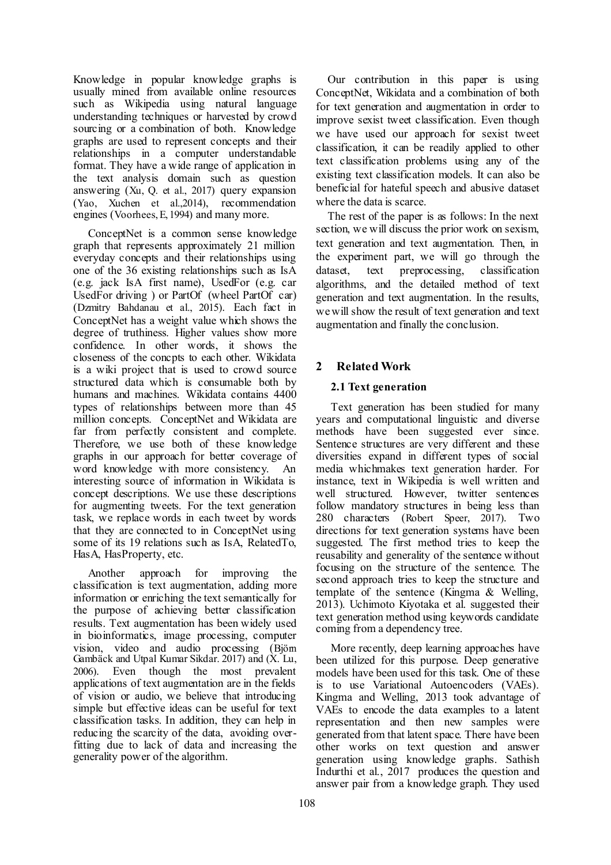Knowledge in popular knowledge graphs is usually mined from available online resources such as Wikipedia using natural language understanding techniques or harvested by crowd sourcing or a combination of both. Knowledge graphs are used to represent concepts and their relationships in a computer understandable format. They have a wide range of application in the text analysis domain such as question answering (Xu, Q. et al., 2017) query expansion (Yao, Xuchen et al.,2014), recommendation engines (Voorhees, E, 1994) and many more.

ConceptNet is a common sense knowledge graph that represents approximately 21 million everyday concepts and their relationships using one of the 36 existing relationships such as IsA (e.g. jack IsA first name), UsedFor (e.g. car UsedFor driving ) or PartOf (wheel PartOf car) (Dzmitry Bahdanau et al., 2015). Each fact in ConceptNet has a weight value which shows the degree of truthiness. Higher values show more confidence. In other words, it shows the closeness of the concpts to each other. Wikidata is a wiki project that is used to crowd source structured data which is consumable both by humans and machines. Wikidata contains 4400 types of relationships between more than 45 million concepts. ConceptNet and Wikidata are far from perfectly consistent and complete. Therefore, we use both of these knowledge graphs in our approach for better coverage of word knowledge with more consistency. An interesting source of information in Wikidata is concept descriptions. We use these descriptions for augmenting tweets. For the text generation task, we replace words in each tweet by words that they are connected to in ConceptNet using some of its 19 relations such as IsA, RelatedTo, HasA, HasProperty, etc.

Another approach for improving the classification is text augmentation, adding more information or enriching the text semantically for the purpose of achieving better classification results. Text augmentation has been widely used in bioinformatics, image processing, computer vision, video and audio processing (Björn Gambäck and Utpal Kumar Sikdar. 2017) and (X. Lu, 2006). Even though the most prevalent applications of text augmentation are in the fields of vision or audio, we believe that introducing simple but effective ideas can be useful for text classification tasks. In addition, they can help in reducing the scarcity of the data, avoiding overfitting due to lack of data and increasing the generality power of the algorithm.

Our contribution in this paper is using ConceptNet, Wikidata and a combination of both for text generation and augmentation in order to improve sexist tweet classification. Even though we have used our approach for sexist tweet classification, it can be readily applied to other text classification problems using any of the existing text classification models. It can also be beneficial for hateful speech and abusive dataset where the data is scarce.

The rest of the paper is as follows: In the next section, we will discuss the prior work on sexism, text generation and text augmentation. Then, in the experiment part, we will go through the dataset, text preprocessing, classification algorithms, and the detailed method of text generation and text augmentation. In the results, we will show the result of text generation and text augmentation and finally the conclusion.

# **2 Related Work**

### **2.1 Text generation**

Text generation has been studied for many years and computational linguistic and diverse methods have been suggested ever since. Sentence structures are very different and these diversities expand in different types of social media whichmakes text generation harder. For instance, text in Wikipedia is well written and well structured. However, twitter sentences follow mandatory structures in being less than 280 characters (Robert Speer, 2017). Two directions for text generation systems have been suggested. The first method tries to keep the reusability and generality of the sentence without focusing on the structure of the sentence. The second approach tries to keep the structure and template of the sentence (Kingma & Welling, 2013). Uchimoto Kiyotaka et al. suggested their text generation method using keywords candidate coming from a dependency tree.

More recently, deep learning approaches have been utilized for this purpose. Deep generative models have been used for this task. One of these is to use Variational Autoencoders (VAEs). Kingma and Welling, 2013 took advantage of VAEs to encode the data examples to a latent representation and then new samples were generated from that latent space. There have been other works on text question and answer generation using knowledge graphs. Sathish Indurthi et al., 2017 produces the question and answer pair from a knowledge graph. They used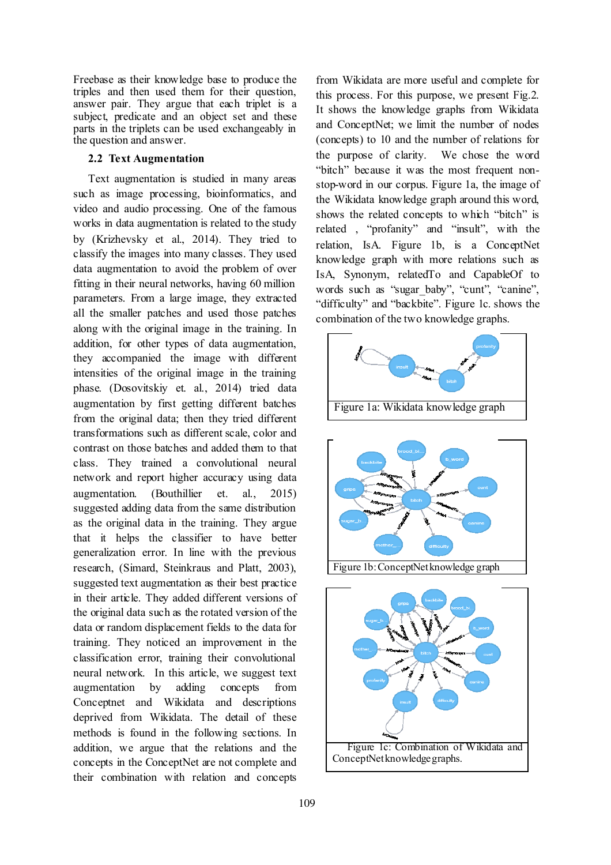Freebase as their knowledge base to produce the triples and then used them for their question, answer pair. They argue that each triplet is a subject, predicate and an object set and these parts in the triplets can be used exchangeably in the question and answer.

#### **2.2 Text Augmentation**

Text augmentation is studied in many areas such as image processing, bioinformatics, and video and audio processing. One of the famous works in data augmentation is related to the study by (Krizhevsky et al., 2014). They tried to classify the images into many classes. They used data augmentation to avoid the problem of over fitting in their neural networks, having 60 million parameters. From a large image, they extracted all the smaller patches and used those patches along with the original image in the training. In addition, for other types of data augmentation, they accompanied the image with different intensities of the original image in the training phase. (Dosovitskiy et. al., 2014) tried data augmentation by first getting different batches from the original data; then they tried different transformations such as different scale, color and contrast on those batches and added them to that class. They trained a convolutional neural network and report higher accuracy using data augmentation. (Bouthillier et. al., 2015) suggested adding data from the same distribution as the original data in the training. They argue that it helps the classifier to have better generalization error. In line with the previous research, (Simard, Steinkraus and Platt, 2003), suggested text augmentation as their best practice in their article. They added different versions of the original data such as the rotated version of the data or random displacement fields to the data for training. They noticed an improvement in the classification error, training their convolutional neural network. In this article, we suggest text augmentation by adding concepts from Conceptnet and Wikidata and descriptions deprived from Wikidata. The detail of these methods is found in the following sections. In addition, we argue that the relations and the concepts in the ConceptNet are not complete and their combination with relation and concepts

from Wikidata are more useful and complete for this process. For this purpose, we present Fig.2. It shows the knowledge graphs from Wikidata and ConceptNet; we limit the number of nodes (concepts) to 10 and the number of relations for the purpose of clarity. We chose the word "bitch" because it was the most frequent nonstop-word in our corpus. Figure 1a, the image of the Wikidata knowledge graph around this word, shows the related concepts to which "bitch" is related , "profanity" and "insult", with the relation, IsA. Figure 1b, is a ConceptNet knowledge graph with more relations such as IsA, Synonym, relatedTo and CapableOf to words such as "sugar baby", "cunt", "canine", "difficulty" and "backbite". Figure 1c. shows the combination of the two knowledge graphs.





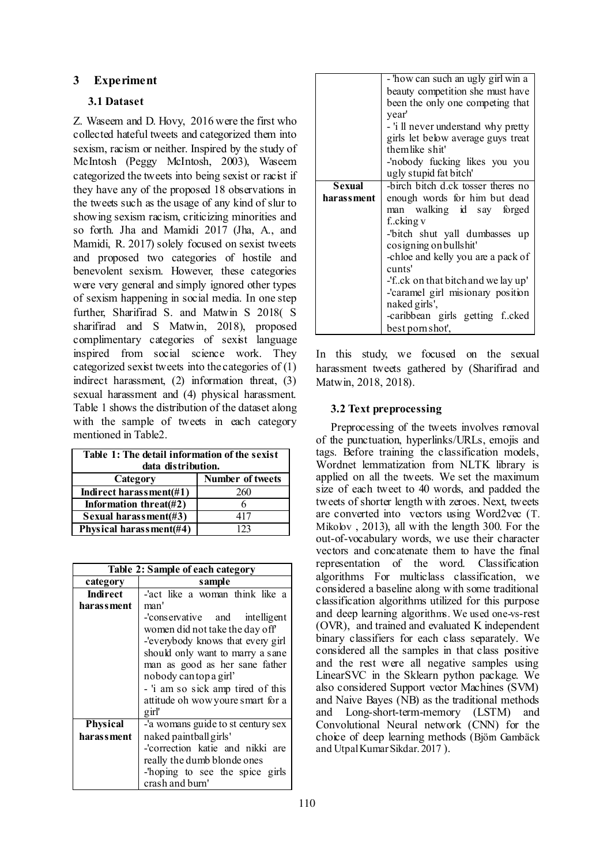# **3 Experiment**

## **3.1 Dataset**

Z. Waseem and D. Hovy, 2016 were the first who collected hateful tweets and categorized them into sexism, racism or neither. Inspired by the study of McIntosh (Peggy McIntosh, 2003), Waseem categorized the tweets into being sexist or racist if they have any of the proposed 18 observations in the tweets such as the usage of any kind of slur to showing sexism racism, criticizing minorities and so forth. Jha and Mamidi 2017 (Jha, A., and Mamidi, R. 2017) solely focused on sexist tweets and proposed two categories of hostile and benevolent sexism. However, these categories were very general and simply ignored other types of sexism happening in social media. In one step further, Sharifirad S. and Matwin S 2018( S sharifirad and S Matwin, 2018), proposed complimentary categories of sexist language inspired from social science work. They categorized sexist tweets into the categories of (1) indirect harassment, (2) information threat, (3) sexual harassment and (4) physical harassment. Table 1 shows the distribution of the dataset along with the sample of tweets in each category mentioned in Table2.

| Table 1: The detail information of the sexist<br>data distribution. |                         |  |  |
|---------------------------------------------------------------------|-------------------------|--|--|
| Category                                                            | <b>Number of tweets</b> |  |  |
| Indirect harassment $(\#1)$                                         | 260                     |  |  |
| Information threat $(\#2)$                                          |                         |  |  |
| Sexual harassment(#3)                                               | 417                     |  |  |
| Physical harassment(#4)                                             | 123                     |  |  |

| Table 2: Sample of each category |                                    |  |  |  |  |  |
|----------------------------------|------------------------------------|--|--|--|--|--|
| category                         | sample                             |  |  |  |  |  |
| <b>Indirect</b>                  | -'act like a woman think like a    |  |  |  |  |  |
| harassment                       | man'                               |  |  |  |  |  |
|                                  | -'conservative and intelligent     |  |  |  |  |  |
|                                  | women did not take the day off     |  |  |  |  |  |
|                                  | -'everybody knows that every girl  |  |  |  |  |  |
|                                  | should only want to marry a sane   |  |  |  |  |  |
|                                  | man as good as her sane father     |  |  |  |  |  |
|                                  | nobody cantopa girl'               |  |  |  |  |  |
|                                  | - 'i am so sick amp tired of this  |  |  |  |  |  |
|                                  | attitude oh wow youre smart for a  |  |  |  |  |  |
|                                  | girl'                              |  |  |  |  |  |
| <b>Physical</b>                  | -'a womans guide to st century sex |  |  |  |  |  |
| harassment                       | naked paintball girls'             |  |  |  |  |  |
|                                  | -'correction katie and nikki are   |  |  |  |  |  |
|                                  | really the dumb blonde ones        |  |  |  |  |  |
|                                  | -hoping to see the spice girls     |  |  |  |  |  |
|                                  | crash and burn'                    |  |  |  |  |  |

|               | - 'how can such an ugly girl win a                                                                                                                                                                                                                                                                                              |  |  |  |  |  |
|---------------|---------------------------------------------------------------------------------------------------------------------------------------------------------------------------------------------------------------------------------------------------------------------------------------------------------------------------------|--|--|--|--|--|
|               | beauty competition she must have                                                                                                                                                                                                                                                                                                |  |  |  |  |  |
|               | been the only one competing that                                                                                                                                                                                                                                                                                                |  |  |  |  |  |
|               | vear'                                                                                                                                                                                                                                                                                                                           |  |  |  |  |  |
|               | - 'i ll never understand why pretty                                                                                                                                                                                                                                                                                             |  |  |  |  |  |
|               |                                                                                                                                                                                                                                                                                                                                 |  |  |  |  |  |
|               | themlike shit'                                                                                                                                                                                                                                                                                                                  |  |  |  |  |  |
|               |                                                                                                                                                                                                                                                                                                                                 |  |  |  |  |  |
|               |                                                                                                                                                                                                                                                                                                                                 |  |  |  |  |  |
| <b>Sexual</b> | -birch bitch d.ck tosser theres no                                                                                                                                                                                                                                                                                              |  |  |  |  |  |
|               |                                                                                                                                                                                                                                                                                                                                 |  |  |  |  |  |
|               |                                                                                                                                                                                                                                                                                                                                 |  |  |  |  |  |
|               |                                                                                                                                                                                                                                                                                                                                 |  |  |  |  |  |
|               |                                                                                                                                                                                                                                                                                                                                 |  |  |  |  |  |
|               |                                                                                                                                                                                                                                                                                                                                 |  |  |  |  |  |
|               |                                                                                                                                                                                                                                                                                                                                 |  |  |  |  |  |
|               |                                                                                                                                                                                                                                                                                                                                 |  |  |  |  |  |
|               | cunts'                                                                                                                                                                                                                                                                                                                          |  |  |  |  |  |
|               | -'fck on that bitch and we lay up'                                                                                                                                                                                                                                                                                              |  |  |  |  |  |
|               | -'caramel girl misionary position                                                                                                                                                                                                                                                                                               |  |  |  |  |  |
|               | naked girls',                                                                                                                                                                                                                                                                                                                   |  |  |  |  |  |
|               |                                                                                                                                                                                                                                                                                                                                 |  |  |  |  |  |
|               |                                                                                                                                                                                                                                                                                                                                 |  |  |  |  |  |
| harassment    | girls let below average guys treat<br>-'nobody fucking likes you you<br>ugly stupid fat bitch'<br>enough words for him but dead<br>man walking id say forged<br>fcking v<br>-"bitch shut yall dumbasses up<br>cosigning on bullshit'<br>-chloe and kelly you are a pack of<br>-caribbean girls getting fcked<br>best pornshot', |  |  |  |  |  |

In this study, we focused on the sexual harassment tweets gathered by (Sharifirad and Matwin, 2018, 2018).

### **3.2 Text preprocessing**

Preprocessing of the tweets involves removal of the punctuation, hyperlinks/URLs, emojis and tags. Before training the classification models, Wordnet lemmatization from NLTK library is applied on all the tweets. We set the maximum size of each tweet to 40 words, and padded the tweets of shorter length with zeroes. Next, tweets are converted into vectors using Word2vec (T. Mikolov , 2013), all with the length 300. For the out-of-vocabulary words, we use their character vectors and concatenate them to have the final representation of the word. Classification algorithms For multiclass classification, we considered a baseline along with some traditional classification algorithms utilized for this purpose and deep learning algorithms. We used one-vs-rest (OVR), and trained and evaluated K independent binary classifiers for each class separately. We considered all the samples in that class positive and the rest were all negative samples using LinearSVC in the Sklearn python package. We also considered Support vector Machines (SVM) and Naive Bayes (NB) as the traditional methods and Long-short-term-memory (LSTM) and Convolutional Neural network (CNN) for the choice of deep learning methods (Björn Gambäck and Utpal Kumar Sikdar. 2017 ).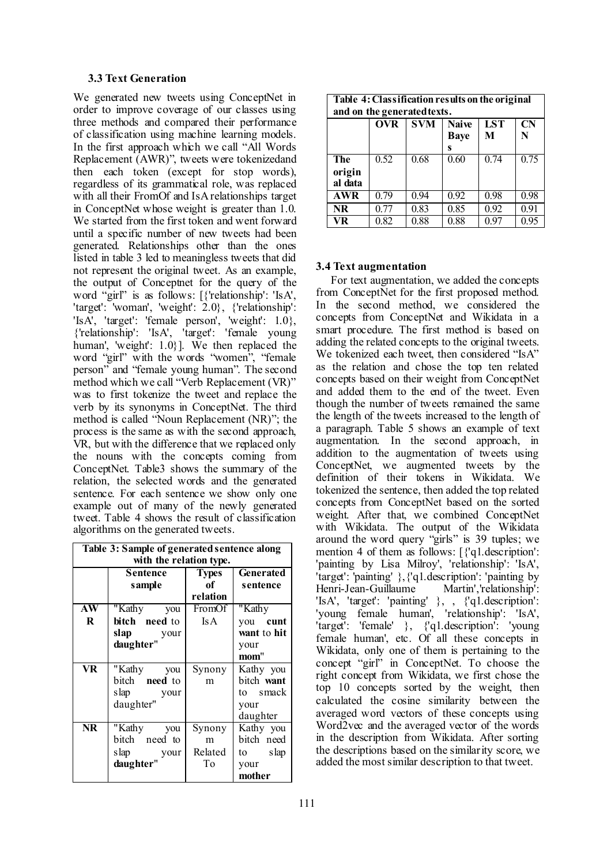#### **3.3 Text Generation**

We generated new tweets using ConceptNet in order to improve coverage of our classes using three methods and compared their performance of classification using machine learning models. In the first approach which we call "All Words Replacement (AWR)", tweets were tokenizedand then each token (except for stop words), regardless of its grammatical role, was replaced with all their FromOf and IsA relationships target in ConceptNet whose weight is greater than 1.0. We started from the first token and went forward until a specific number of new tweets had been generated. Relationships other than the ones listed in table 3 led to meaningless tweets that did not represent the original tweet. As an example, the output of Conceptnet for the query of the word "girl" is as follows: [{'relationship': 'IsA', 'target': 'woman', 'weight': 2.0}, {'relationship': 'IsA', 'target': 'female person', 'weight': 1.0}, {'relationship': 'IsA', 'target': 'female young human', 'weight': 1.0}]. We then replaced the word "girl" with the words "women", "female person" and "female young human". The second method which we call "Verb Replacement (VR)" was to first tokenize the tweet and replace the verb by its synonyms in ConceptNet. The third method is called "Noun Replacement (NR)"; the process is the same as with the second approach, VR, but with the difference that we replaced only the nouns with the concepts coming from ConceptNet. Table3 shows the summary of the relation, the selected words and the generated sentence. For each sentence we show only one example out of many of the newly generated tweet. Table 4 shows the result of classification algorithms on the generated tweets.

| Table 3: Sample of generated sentence along<br>with the relation type. |                      |              |             |  |
|------------------------------------------------------------------------|----------------------|--------------|-------------|--|
|                                                                        | <b>Sentence</b>      | <b>Types</b> | Generated   |  |
|                                                                        | sample               | of           | sentence    |  |
|                                                                        |                      | relation     |             |  |
| AW                                                                     | "Kathy<br>you        | FromOf       | "Kathy      |  |
| $\bf R$                                                                | bitch need to        | <b>IsA</b>   | you cunt    |  |
|                                                                        | slap<br>your         |              | want to hit |  |
|                                                                        | daughter"            |              | your        |  |
|                                                                        |                      |              | mom"        |  |
| VR.                                                                    | "Kathy you           | Synony       | Kathy you   |  |
|                                                                        | bitch <b>need</b> to | m            | bitch want  |  |
|                                                                        | slap your            |              | to smack    |  |
|                                                                        | daughter"            |              | your        |  |
|                                                                        |                      |              | daughter    |  |
| <b>NR</b>                                                              | "Kathy you           | Synony       | Kathy you   |  |
|                                                                        | bitch need to        | m            | bitch need  |  |
|                                                                        | slap your            | Related      | to slap     |  |
|                                                                        | daughter"            | To           | your        |  |
|                                                                        |                      |              | mother      |  |

| Table 4: Classification results on the original<br>and on the generated texts. |            |            |                                  |                 |                |
|--------------------------------------------------------------------------------|------------|------------|----------------------------------|-----------------|----------------|
|                                                                                | <b>OVR</b> | <b>SVM</b> | <b>Naive</b><br><b>Baye</b><br>s | <b>LST</b><br>M | <b>CN</b><br>N |
| <b>The</b><br>origin<br>al data                                                | 0.52       | 0.68       | 0.60                             | 0.74            | 0.75           |
| <b>AWR</b>                                                                     | 0.79       | 0.94       | 0.92                             | 0.98            | 0.98           |
| <b>NR</b>                                                                      | 0.77       | 0.83       | 0.85                             | 0.92            | 0.91           |
| VR                                                                             | 0.82       | 0.88       | 0.88                             | 0.97            | 0.95           |

### **3.4 Text augmentation**

For text augmentation, we added the concepts from ConceptNet for the first proposed method. In the second method, we considered the concepts from ConceptNet and Wikidata in a smart procedure. The first method is based on adding the related concepts to the original tweets. We tokenized each tweet, then considered "IsA" as the relation and chose the top ten related concepts based on their weight from ConceptNet and added them to the end of the tweet. Even though the number of tweets remained the same the length of the tweets increased to the length of a paragraph. Table 5 shows an example of text augmentation. In the second approach, in addition to the augmentation of tweets using ConceptNet, we augmented tweets by the definition of their tokens in Wikidata. We tokenized the sentence, then added the top related concepts from ConceptNet based on the sorted weight. After that, we combined ConceptNet with Wikidata. The output of the Wikidata around the word query "girls" is 39 tuples; we mention 4 of them as follows: [{'q1.description': 'painting by Lisa Milroy', 'relationship': 'IsA', 'target': 'painting' },{'q1.description': 'painting by Henri-Jean-Guillaume Martin','relationship': 'IsA', 'target': 'painting' }, , {'q1.description': 'young female human', 'relationship': 'IsA', 'target': 'female' }, {'q1.description': 'young female human', etc. Of all these concepts in Wikidata, only one of them is pertaining to the concept "girl" in ConceptNet. To choose the right concept from Wikidata, we first chose the top 10 concepts sorted by the weight, then calculated the cosine similarity between the averaged word vectors of these concepts using Word2vec and the averaged vector of the words in the description from Wikidata. After sorting the descriptions based on the similarity score, we added the most similar description to that tweet.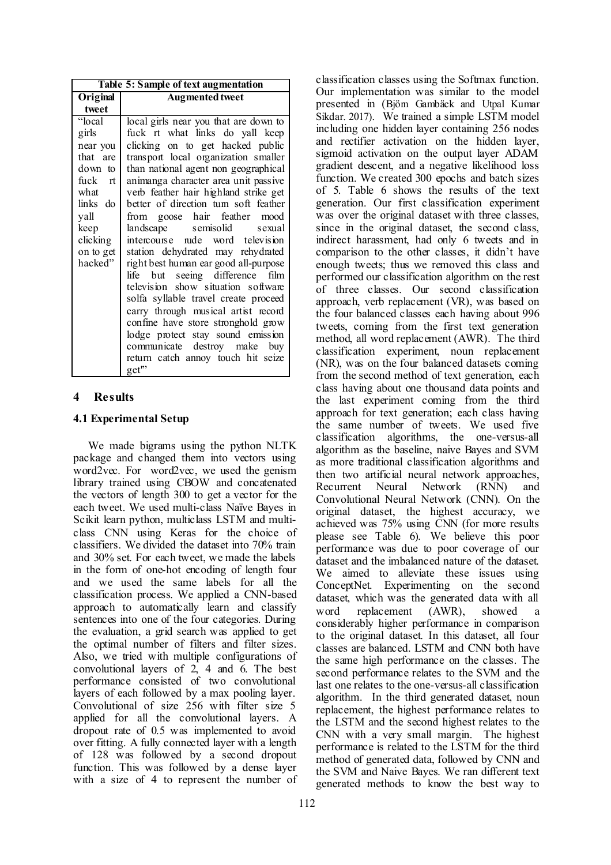### **4 Results**

### **4.1 Experimental Setup**

We made bigrams using the python NLTK package and changed them into vectors using word2vec. For word2vec, we used the genism library trained using CBOW and concatenated the vectors of length 300 to get a vector for the each tweet. We used multi-class Naïve Bayes in Scikit learn python, multiclass LSTM and multiclass CNN using Keras for the choice of classifiers. We divided the dataset into 70% train and 30% set. For each tweet, we made the labels in the form of one-hot encoding of length four and we used the same labels for all the classification process. We applied a CNN-based approach to automatically learn and classify sentences into one of the four categories. During the evaluation, a grid search was applied to get the optimal number of filters and filter sizes. Also, we tried with multiple configurations of convolutional layers of 2, 4 and 6. The best performance consisted of two convolutional layers of each followed by a max pooling layer. Convolutional of size 256 with filter size 5 applied for all the convolutional layers. A dropout rate of 0.5 was implemented to avoid over fitting. A fully connected layer with a length of 128 was followed by a second dropout function. This was followed by a dense layer with a size of 4 to represent the number of

classification classes using the Softmax function. Our implementation was similar to the model presented in (Björn Gambäck and Utpal Kumar Sikdar. 2017). We trained a simple LSTM model including one hidden layer containing 256 nodes and rectifier activation on the hidden layer, sigmoid activation on the output layer ADAM gradient descent, and a negative likelihood loss function. We created 300 epochs and batch sizes of 5. Table 6 shows the results of the text generation. Our first classification experiment was over the original dataset with three classes, since in the original dataset, the second class, indirect harassment, had only 6 tweets and in comparison to the other classes, it didn't have enough tweets; thus we removed this class and performed our classification algorithm on the rest of three classes. Our second classification approach, verb replacement (VR), was based on the four balanced classes each having about 996 tweets, coming from the first text generation method, all word replacement (AWR). The third classification experiment, noun replacement (NR), was on the four balanced datasets coming from the second method of text generation, each class having about one thousand data points and the last experiment coming from the third approach for text generation; each class having the same number of tweets. We used five classification algorithms, the one-versus-all algorithm as the baseline, naive Bayes and SVM as more traditional classification algorithms and then two artificial neural network approaches, Recurrent Neural Network (RNN) and Convolutional Neural Network (CNN). On the original dataset, the highest accuracy, we achieved was 75% using CNN (for more results please see Table 6). We believe this poor performance was due to poor coverage of our dataset and the imbalanced nature of the dataset. We aimed to alleviate these issues using ConceptNet. Experimenting on the second dataset, which was the generated data with all word replacement (AWR), showed a considerably higher performance in comparison to the original dataset. In this dataset, all four classes are balanced. LSTM and CNN both have the same high performance on the classes. The second performance relates to the SVM and the last one relates to the one-versus-all classification algorithm. In the third generated dataset, noun replacement, the highest performance relates to the LSTM and the second highest relates to the CNN with a very small margin. The highest performance is related to the LSTM for the third method of generated data, followed by CNN and the SVM and Naive Bayes. We ran different text generated methods to know the best way to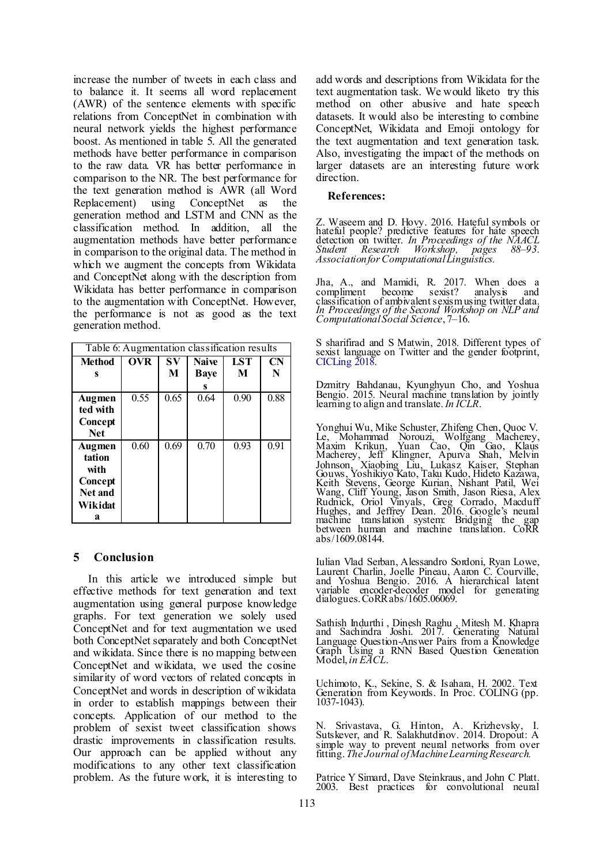increase the number of tweets in each class and to balance it. It seems all word replacement (AWR) of the sentence elements with specific relations from ConceptNet in combination with neural network yields the highest performance boost. As mentioned in table 5. All the generated methods have better performance in comparison to the raw data. VR has better performance in comparison to the NR. The best performance for the text generation method is AWR (all Word Replacement) using ConceptNet as the generation method and LSTM and CNN as the classification method. In addition, all the augmentation methods have better performance in comparison to the original data. The method in which we augment the concepts from Wikidata and ConceptNet along with the description from Wikidata has better performance in comparison to the augmentation with ConceptNet. However, the performance is not as good as the text generation method.

| Table 6: Augmentation classification results                   |            |         |                                  |                 |                |
|----------------------------------------------------------------|------------|---------|----------------------------------|-----------------|----------------|
| Method<br>S                                                    | <b>OVR</b> | SV<br>M | <b>Naive</b><br><b>Baye</b><br>s | <b>LST</b><br>M | <b>CN</b><br>N |
| Augmen<br>ted with<br>Concept<br><b>Net</b>                    | 0.55       | 0.65    | 0.64                             | 0.90            | 0.88           |
| Augmen<br>tation<br>with<br>Concept<br>Net and<br>Wikidat<br>a | 0.60       | 0.69    | 0.70                             | 0.93            | 0.91           |

### **5 Conclusion**

In this article we introduced simple but effective methods for text generation and text augmentation using general purpose knowledge graphs. For text generation we solely used ConceptNet and for text augmentation we used both ConceptNet separately and both ConceptNet and wikidata. Since there is no mapping between ConceptNet and wikidata, we used the cosine similarity of word vectors of related concepts in ConceptNet and words in description of wikidata in order to establish mappings between their concepts. Application of our method to the problem of sexist tweet classification shows drastic improvements in classification results. Our approach can be applied without any modifications to any other text classification problem. As the future work, it is interesting to

add words and descriptions from Wikidata for the text augmentation task. We would liketo try this method on other abusive and hate speech datasets. It would also be interesting to combine ConceptNet, Wikidata and Emoji ontology for the text augmentation and text generation task. Also, investigating the impact of the methods on larger datasets are an interesting future work direction.

#### **References:**

Z. Waseem and D. Hovy. 2016. Hateful symbols or hateful people? predictive features for hate speech detection on twitter. *In Proceedings of the NAACL Student Research Workshop, pages 88–93. Association for Computational Linguistics.*

Jha, A., and Mamidi, R. 2017. When does a compliment become sexist? analysis and classification of ambivalent sexism using twitter data. *In Proceedings of the Second Workshop on NLP and Computational Social Science*, 7–16.

S sharifirad and S Matwin, 2018. Different types of sexist language on Twitter and the gender footprint, [CICLing 2018](https://www.cicling.org/2018/).

Dzmitry Bahdanau, Kyunghyun Cho, and Yoshua Bengio. 2015. Neural machine translation by jointly learning to align and translate. *In ICLR*.

Yonghui Wu, Mike Schuster, Zhifeng Chen, Quoc V. Le, Mohammad Norouzi, Wolfgang Macherey, Maxim Krikun, Yuan Cao, Qin Gao, Klaus Macherey, Jeff Klingner, Apurva Shah, Melvin Johnson, Xiaobing Liu, Lukasz Kaiser, Stephan Gouws, Yoshikiyo Kato, Taku Kudo, Hideto Kazawa, Keith Stevens, George Kurian, Nishant Patil, Wei Wang, Cliff Young, Jason Smith, Jason Riesa, Alex Rudnick, Oriol Vinyals, Greg Corrado, Macduff Hughes, and Jeffrey Dean. 2016. Google's neural machine translation system: Bridging the gap between human and machine translation. CoRR abs/1609.08144.

Iulian Vlad Serban, Alessandro Sordoni, Ryan Lowe, Laurent Charlin, Joelle Pineau, Aaron C. Courville, and Yoshua Bengio. 2016. A hierarchical latent variable encoder-decoder model for generating dialogues. CoRR abs/1605.06069.

Sathish Indurthi , Dinesh Raghu , Mitesh M. Khapra and Sachindra Joshi. 2017. Generating Natural Language Question-Answer Pairs from a Knowledge Graph Using a RNN Based Question Generation Model, *in EACL*.

Uchimoto, K., Sekine, S. & Isahara, H. 2002. Text Generation from Keywords. In Proc. COLING (pp. 1037-1043).

N. Srivastava, G. Hinton, A. Krizhevsky, I. Sutskever, and R. Salakhutdinov. 2014. Dropout: A simple way to prevent neural networks from over fitting. *The Journal of Machine Learning Research.* 

Patrice Y Simard, Dave Steinkraus, and John C Platt. 2003. Best practices for convolutional neural